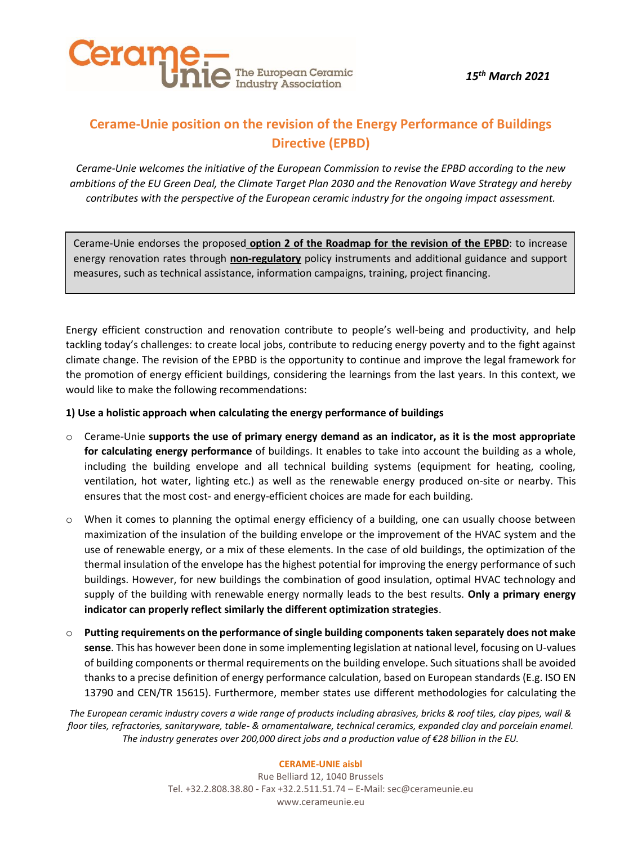

*15th March 2021*

### **Cerame-Unie position on the revision of the Energy Performance of Buildings Directive (EPBD)**

*Cerame-Unie welcomes the initiative of the European Commission to revise the EPBD according to the new ambitions of the EU Green Deal, the Climate Target Plan 2030 and the Renovation Wave Strategy and hereby contributes with the perspective of the European ceramic industry for the ongoing impact assessment.*

Cerame-Unie endorses the proposed **option 2 of the Roadmap for the revision of the EPBD**: to increase energy renovation rates through **non-regulatory** policy instruments and additional guidance and support measures, such as technical assistance, information campaigns, training, project financing.

Energy efficient construction and renovation contribute to people's well-being and productivity, and help tackling today's challenges: to create local jobs, contribute to reducing energy poverty and to the fight against climate change. The revision of the EPBD is the opportunity to continue and improve the legal framework for the promotion of energy efficient buildings, considering the learnings from the last years. In this context, we would like to make the following recommendations:

#### **1) Use a holistic approach when calculating the energy performance of buildings**

- o Cerame-Unie **supports the use of primary energy demand as an indicator, as it is the most appropriate for calculating energy performance** of buildings. It enables to take into account the building as a whole, including the building envelope and all technical building systems (equipment for heating, cooling, ventilation, hot water, lighting etc.) as well as the renewable energy produced on-site or nearby. This ensures that the most cost- and energy-efficient choices are made for each building.
- o When it comes to planning the optimal energy efficiency of a building, one can usually choose between maximization of the insulation of the building envelope or the improvement of the HVAC system and the use of renewable energy, or a mix of these elements. In the case of old buildings, the optimization of the thermal insulation of the envelope has the highest potential for improving the energy performance of such buildings. However, for new buildings the combination of good insulation, optimal HVAC technology and supply of the building with renewable energy normally leads to the best results. **Only a primary energy indicator can properly reflect similarly the different optimization strategies**.
- o **Putting requirements on the performance of single building components taken separately does not make sense**. This has however been done in some implementing legislation at national level, focusing on U-values of building components or thermal requirements on the building envelope. Such situations shall be avoided thanks to a precise definition of energy performance calculation, based on European standards (E.g. ISO EN 13790 and CEN/TR 15615). Furthermore, member states use different methodologies for calculating the

*The European ceramic industry covers a wide range of products including abrasives, bricks & roof tiles, clay pipes, wall & floor tiles, refractories, sanitaryware, table- & ornamentalware, technical ceramics, expanded clay and porcelain enamel. The industry generates over 200,000 direct jobs and a production value of €28 billion in the EU.*

#### **CERAME-UNIE aisbl**

Rue Belliard 12, 1040 Brussels Tel. +32.2.808.38.80 - Fax +32.2.511.51.74 – E-Mail: [sec@cerameunie.eu](mailto:sec@cerameunie.eu) www.cerameunie.eu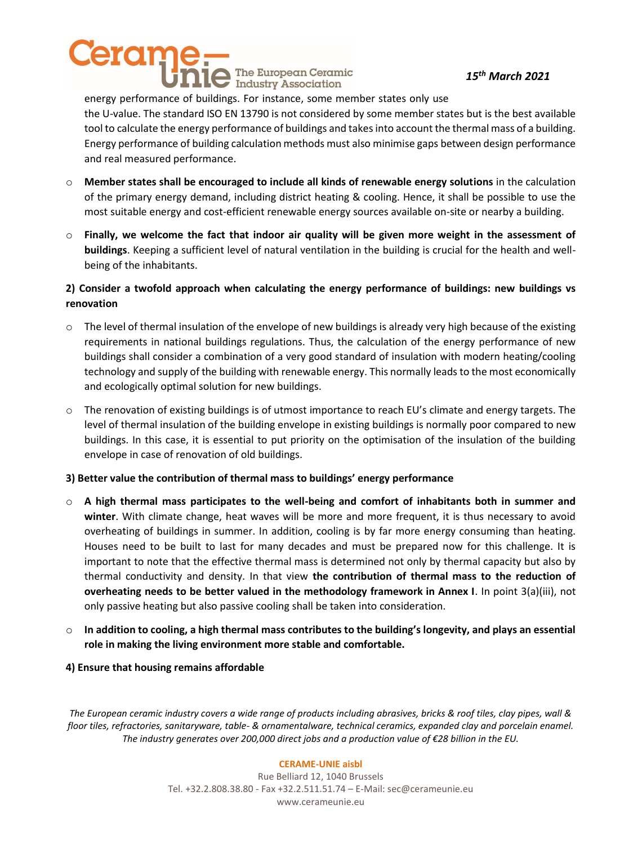# eram The European Ceramic Industry Association

#### *15th March 2021*

energy performance of buildings. For instance, some member states only use the U-value. The standard ISO EN 13790 is not considered by some member states but is the best available tool to calculate the energy performance of buildings and takes into account the thermal mass of a building. Energy performance of building calculation methods must also minimise gaps between design performance and real measured performance.

- o **Member states shall be encouraged to include all kinds of renewable energy solutions** in the calculation of the primary energy demand, including district heating & cooling. Hence, it shall be possible to use the most suitable energy and cost-efficient renewable energy sources available on-site or nearby a building.
- o **Finally, we welcome the fact that indoor air quality will be given more weight in the assessment of buildings**. Keeping a sufficient level of natural ventilation in the building is crucial for the health and wellbeing of the inhabitants.

### **2) Consider a twofold approach when calculating the energy performance of buildings: new buildings vs renovation**

- $\circ$  The level of thermal insulation of the envelope of new buildings is already very high because of the existing requirements in national buildings regulations. Thus, the calculation of the energy performance of new buildings shall consider a combination of a very good standard of insulation with modern heating/cooling technology and supply of the building with renewable energy. This normally leads to the most economically and ecologically optimal solution for new buildings.
- $\circ$  The renovation of existing buildings is of utmost importance to reach EU's climate and energy targets. The level of thermal insulation of the building envelope in existing buildings is normally poor compared to new buildings. In this case, it is essential to put priority on the optimisation of the insulation of the building envelope in case of renovation of old buildings.

#### **3) Better value the contribution of thermal mass to buildings' energy performance**

- o **A high thermal mass participates to the well-being and comfort of inhabitants both in summer and winter**. With climate change, heat waves will be more and more frequent, it is thus necessary to avoid overheating of buildings in summer. In addition, cooling is by far more energy consuming than heating. Houses need to be built to last for many decades and must be prepared now for this challenge. It is important to note that the effective thermal mass is determined not only by thermal capacity but also by thermal conductivity and density. In that view **the contribution of thermal mass to the reduction of overheating needs to be better valued in the methodology framework in Annex I**. In point 3(a)(iii), not only passive heating but also passive cooling shall be taken into consideration.
- o **In addition to cooling, a high thermal mass contributes to the building's longevity, and plays an essential role in making the living environment more stable and comfortable.**

#### **4) Ensure that housing remains affordable**

*The European ceramic industry covers a wide range of products including abrasives, bricks & roof tiles, clay pipes, wall & floor tiles, refractories, sanitaryware, table- & ornamentalware, technical ceramics, expanded clay and porcelain enamel. The industry generates over 200,000 direct jobs and a production value of €28 billion in the EU.*

#### **CERAME-UNIE aisbl**

Rue Belliard 12, 1040 Brussels Tel. +32.2.808.38.80 - Fax +32.2.511.51.74 – E-Mail: [sec@cerameunie.eu](mailto:sec@cerameunie.eu) www.cerameunie.eu